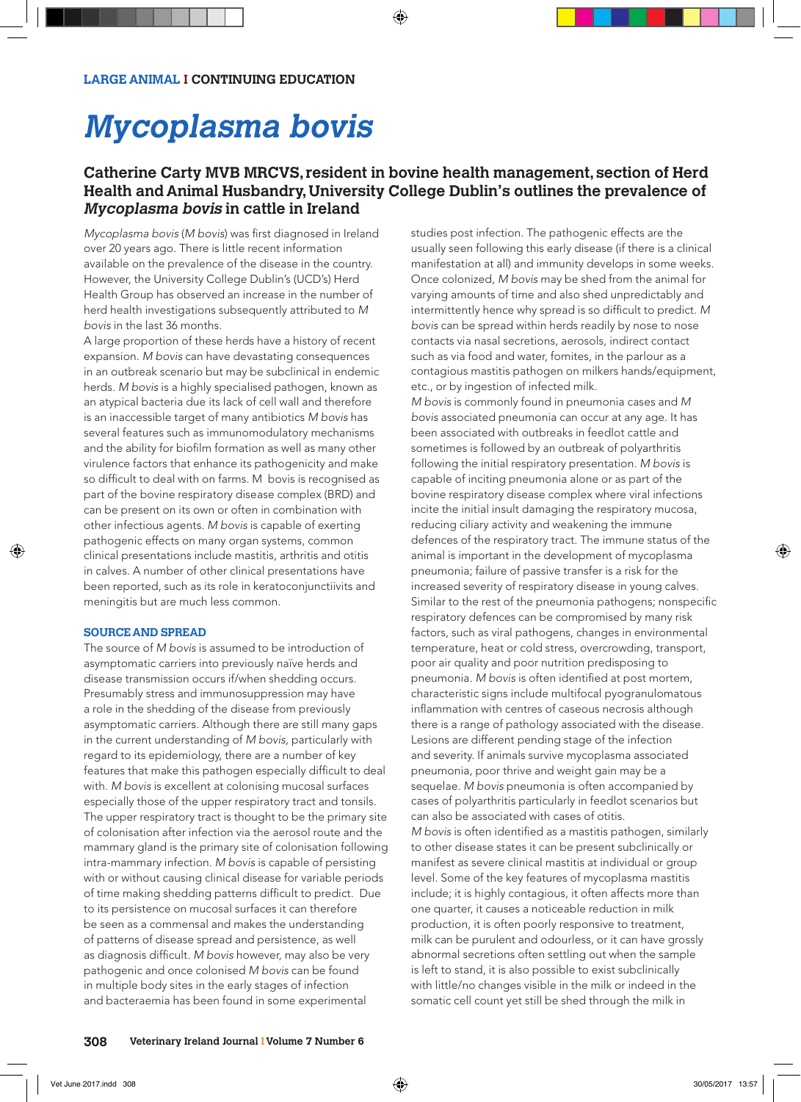# **Mycoplasma bovis**

# **Catherine Carty MVB MRCVS, resident in bovine health management, section of Herd Health and Animal Husbandry, University College Dublin's outlines the prevalence of Mycoplasma bovis in cattle in Ireland**

Mycoplasma bovis (*M bovis*) was first diagnosed in Ireland over 20 years ago. There is little recent information available on the prevalence of the disease in the country. However, the University College Dublin's (UCD's) Herd Health Group has observed an increase in the number of herd health investigations subsequently attributed to *M bovis* in the last 36 months.

A large proportion of these herds have a history of recent expansion. *M bovis* can have devastating consequences in an outbreak scenario but may be subclinical in endemic herds. *M bovis* is a highly specialised pathogen, known as an atypical bacteria due its lack of cell wall and therefore is an inaccessible target of many antibiotics *M bovis* has several features such as immunomodulatory mechanisms and the ability for biofilm formation as well as many other virulence factors that enhance its pathogenicity and make so difficult to deal with on farms. M bovis is recognised as part of the bovine respiratory disease complex (BRD) and can be present on its own or often in combination with other infectious agents. *M bovis* is capable of exerting pathogenic effects on many organ systems, common clinical presentations include mastitis, arthritis and otitis in calves. A number of other clinical presentations have been reported, such as its role in keratoconjunctiivits and meningitis but are much less common.

### **SOURCE AND SPREAD**

The source of *M bovis* is assumed to be introduction of asymptomatic carriers into previously naïve herds and disease transmission occurs if/when shedding occurs. Presumably stress and immunosuppression may have a role in the shedding of the disease from previously asymptomatic carriers. Although there are still many gaps in the current understanding of *M bovis*, particularly with regard to its epidemiology, there are a number of key features that make this pathogen especially difficult to deal with. *M bovis* is excellent at colonising mucosal surfaces especially those of the upper respiratory tract and tonsils. The upper respiratory tract is thought to be the primary site of colonisation after infection via the aerosol route and the mammary gland is the primary site of colonisation following intra-mammary infection. *M bovis* is capable of persisting with or without causing clinical disease for variable periods of time making shedding patterns difficult to predict. Due to its persistence on mucosal surfaces it can therefore be seen as a commensal and makes the understanding of patterns of disease spread and persistence, as well as diagnosis difficult. *M bovis* however, may also be very pathogenic and once colonised *M bovis* can be found in multiple body sites in the early stages of infection and bacteraemia has been found in some experimental

studies post infection. The pathogenic effects are the usually seen following this early disease (if there is a clinical manifestation at all) and immunity develops in some weeks. Once colonized, *M bovis* may be shed from the animal for varying amounts of time and also shed unpredictably and intermittently hence why spread is so difficult to predict. *M bovis* can be spread within herds readily by nose to nose contacts via nasal secretions, aerosols, indirect contact such as via food and water, fomites, in the parlour as a contagious mastitis pathogen on milkers hands/equipment, etc., or by ingestion of infected milk.

*M bovis* is commonly found in pneumonia cases and *M bovis* associated pneumonia can occur at any age. It has been associated with outbreaks in feedlot cattle and sometimes is followed by an outbreak of polyarthritis following the initial respiratory presentation. *M bovis* is capable of inciting pneumonia alone or as part of the bovine respiratory disease complex where viral infections incite the initial insult damaging the respiratory mucosa, reducing ciliary activity and weakening the immune defences of the respiratory tract. The immune status of the animal is important in the development of mycoplasma pneumonia; failure of passive transfer is a risk for the increased severity of respiratory disease in young calves. Similar to the rest of the pneumonia pathogens; nonspecific respiratory defences can be compromised by many risk factors, such as viral pathogens, changes in environmental temperature, heat or cold stress, overcrowding, transport, poor air quality and poor nutrition predisposing to pneumonia. *M bovis* is often identified at post mortem, characteristic signs include multifocal pyogranulomatous inflammation with centres of caseous necrosis although there is a range of pathology associated with the disease. Lesions are different pending stage of the infection and severity. If animals survive mycoplasma associated pneumonia, poor thrive and weight gain may be a sequelae. *M bovis* pneumonia is often accompanied by cases of polyarthritis particularly in feedlot scenarios but can also be associated with cases of otitis. *M bovis* is often identified as a mastitis pathogen, similarly to other disease states it can be present subclinically or manifest as severe clinical mastitis at individual or group level. Some of the key features of mycoplasma mastitis include; it is highly contagious, it often affects more than one quarter, it causes a noticeable reduction in milk production, it is often poorly responsive to treatment, milk can be purulent and odourless, or it can have grossly abnormal secretions often settling out when the sample is left to stand, it is also possible to exist subclinically with little/no changes visible in the milk or indeed in the

somatic cell count yet still be shed through the milk in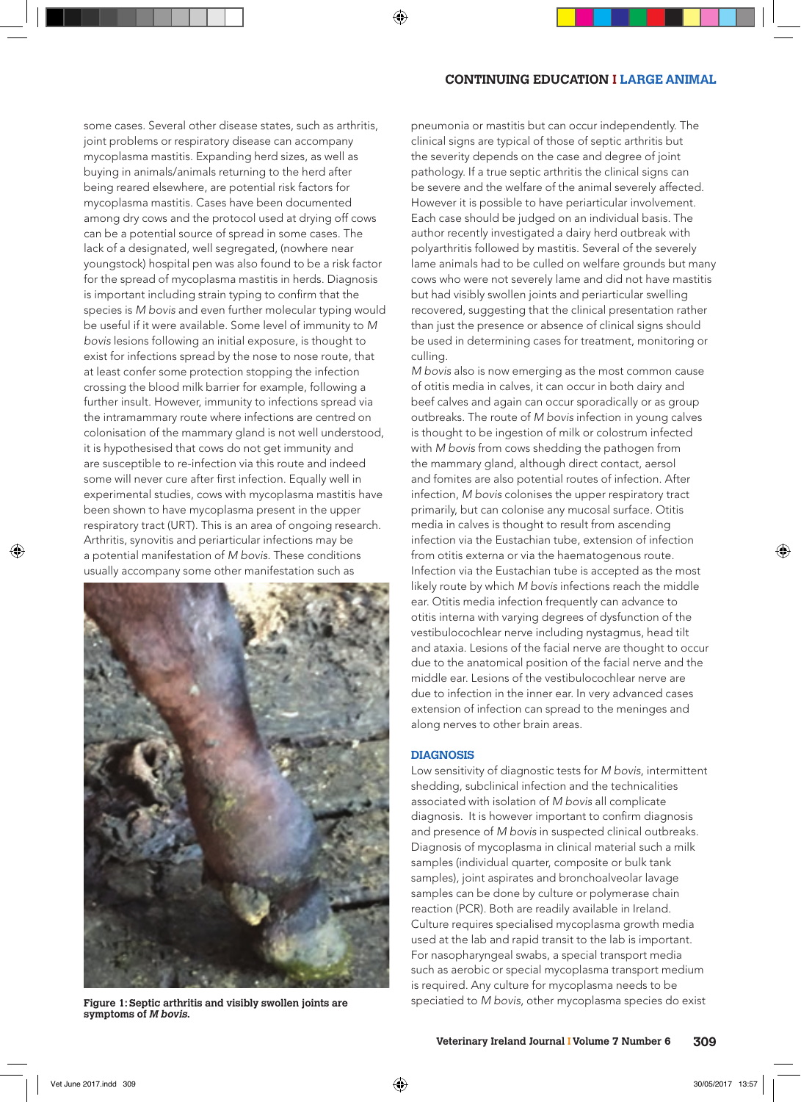# **CONTINUING EDUCATION I LARGE ANIMAL**

some cases. Several other disease states, such as arthritis, joint problems or respiratory disease can accompany mycoplasma mastitis. Expanding herd sizes, as well as buying in animals/animals returning to the herd after being reared elsewhere, are potential risk factors for mycoplasma mastitis. Cases have been documented among dry cows and the protocol used at drying off cows can be a potential source of spread in some cases. The lack of a designated, well segregated, (nowhere near youngstock) hospital pen was also found to be a risk factor for the spread of mycoplasma mastitis in herds. Diagnosis is important including strain typing to confirm that the species is *M bovis* and even further molecular typing would be useful if it were available. Some level of immunity to *M bovis* lesions following an initial exposure, is thought to exist for infections spread by the nose to nose route, that at least confer some protection stopping the infection crossing the blood milk barrier for example, following a further insult. However, immunity to infections spread via the intramammary route where infections are centred on colonisation of the mammary gland is not well understood, it is hypothesised that cows do not get immunity and are susceptible to re-infection via this route and indeed some will never cure after first infection. Equally well in experimental studies, cows with mycoplasma mastitis have been shown to have mycoplasma present in the upper respiratory tract (URT). This is an area of ongoing research. Arthritis, synovitis and periarticular infections may be a potential manifestation of *M bovis*. These conditions usually accompany some other manifestation such as



**symptoms of M bovis.**

pneumonia or mastitis but can occur independently. The clinical signs are typical of those of septic arthritis but the severity depends on the case and degree of joint pathology. If a true septic arthritis the clinical signs can be severe and the welfare of the animal severely affected. However it is possible to have periarticular involvement. Each case should be judged on an individual basis. The author recently investigated a dairy herd outbreak with polyarthritis followed by mastitis. Several of the severely lame animals had to be culled on welfare grounds but many cows who were not severely lame and did not have mastitis but had visibly swollen joints and periarticular swelling recovered, suggesting that the clinical presentation rather than just the presence or absence of clinical signs should be used in determining cases for treatment, monitoring or culling.

*M bovis* also is now emerging as the most common cause of otitis media in calves, it can occur in both dairy and beef calves and again can occur sporadically or as group outbreaks. The route of *M bovis* infection in young calves is thought to be ingestion of milk or colostrum infected with *M bovis* from cows shedding the pathogen from the mammary gland, although direct contact, aersol and fomites are also potential routes of infection. After infection, *M bovis* colonises the upper respiratory tract primarily, but can colonise any mucosal surface. Otitis media in calves is thought to result from ascending infection via the Eustachian tube, extension of infection from otitis externa or via the haematogenous route. Infection via the Eustachian tube is accepted as the most likely route by which *M bovis* infections reach the middle ear. Otitis media infection frequently can advance to otitis interna with varying degrees of dysfunction of the vestibulocochlear nerve including nystagmus, head tilt and ataxia. Lesions of the facial nerve are thought to occur due to the anatomical position of the facial nerve and the middle ear. Lesions of the vestibulocochlear nerve are due to infection in the inner ear. In very advanced cases extension of infection can spread to the meninges and along nerves to other brain areas.

#### **DIAGNOSIS**

Low sensitivity of diagnostic tests for *M bovis*, intermittent shedding, subclinical infection and the technicalities associated with isolation of *M bovis* all complicate diagnosis. It is however important to confirm diagnosis and presence of *M bovis* in suspected clinical outbreaks. Diagnosis of mycoplasma in clinical material such a milk samples (individual quarter, composite or bulk tank samples), joint aspirates and bronchoalveolar lavage samples can be done by culture or polymerase chain reaction (PCR). Both are readily available in Ireland. Culture requires specialised mycoplasma growth media used at the lab and rapid transit to the lab is important. For nasopharyngeal swabs, a special transport media such as aerobic or special mycoplasma transport medium is required. Any culture for mycoplasma needs to be **Figure 1: Septic arthritis and visibly swollen joints are** speciatied to *M bovis*, other mycoplasma species do exist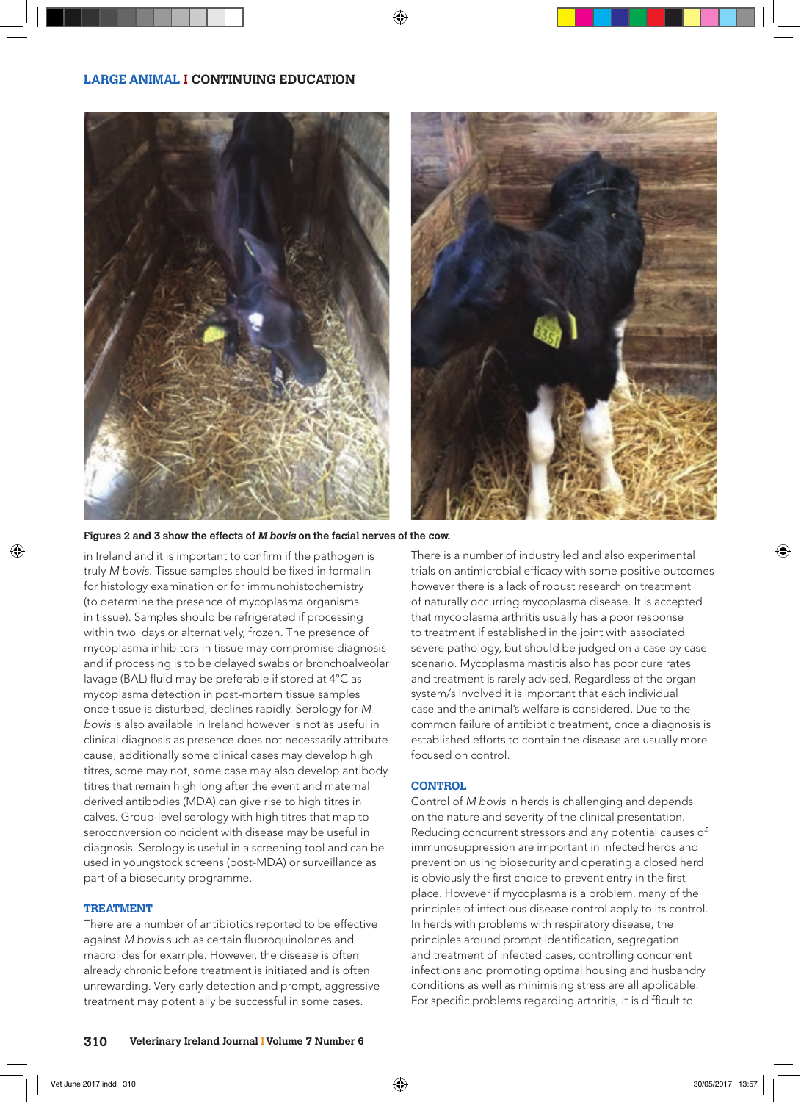



**Figures 2 and 3 show the effects of M bovis on the facial nerves of the cow.**

in Ireland and it is important to confirm if the pathogen is truly *M bovis*. Tissue samples should be fixed in formalin for histology examination or for immunohistochemistry (to determine the presence of mycoplasma organisms in tissue). Samples should be refrigerated if processing within two days or alternatively, frozen. The presence of mycoplasma inhibitors in tissue may compromise diagnosis and if processing is to be delayed swabs or bronchoalveolar lavage (BAL) fluid may be preferable if stored at 4°C as mycoplasma detection in post-mortem tissue samples once tissue is disturbed, declines rapidly. Serology for *M bovis* is also available in Ireland however is not as useful in clinical diagnosis as presence does not necessarily attribute cause, additionally some clinical cases may develop high titres, some may not, some case may also develop antibody titres that remain high long after the event and maternal derived antibodies (MDA) can give rise to high titres in calves. Group-level serology with high titres that map to seroconversion coincident with disease may be useful in diagnosis. Serology is useful in a screening tool and can be used in youngstock screens (post-MDA) or surveillance as part of a biosecurity programme.

# **TREATMENT**

There are a number of antibiotics reported to be effective against *M bovis* such as certain fluoroquinolones and macrolides for example. However, the disease is often already chronic before treatment is initiated and is often unrewarding. Very early detection and prompt, aggressive treatment may potentially be successful in some cases.

There is a number of industry led and also experimental trials on antimicrobial efficacy with some positive outcomes however there is a lack of robust research on treatment of naturally occurring mycoplasma disease. It is accepted that mycoplasma arthritis usually has a poor response to treatment if established in the joint with associated severe pathology, but should be judged on a case by case scenario. Mycoplasma mastitis also has poor cure rates and treatment is rarely advised. Regardless of the organ system/s involved it is important that each individual case and the animal's welfare is considered. Due to the common failure of antibiotic treatment, once a diagnosis is established efforts to contain the disease are usually more focused on control.

# **CONTROL**

Control of *M bovis* in herds is challenging and depends on the nature and severity of the clinical presentation. Reducing concurrent stressors and any potential causes of immunosuppression are important in infected herds and prevention using biosecurity and operating a closed herd is obviously the first choice to prevent entry in the first place. However if mycoplasma is a problem, many of the principles of infectious disease control apply to its control. In herds with problems with respiratory disease, the principles around prompt identification, segregation and treatment of infected cases, controlling concurrent infections and promoting optimal housing and husbandry conditions as well as minimising stress are all applicable. For specific problems regarding arthritis, it is difficult to